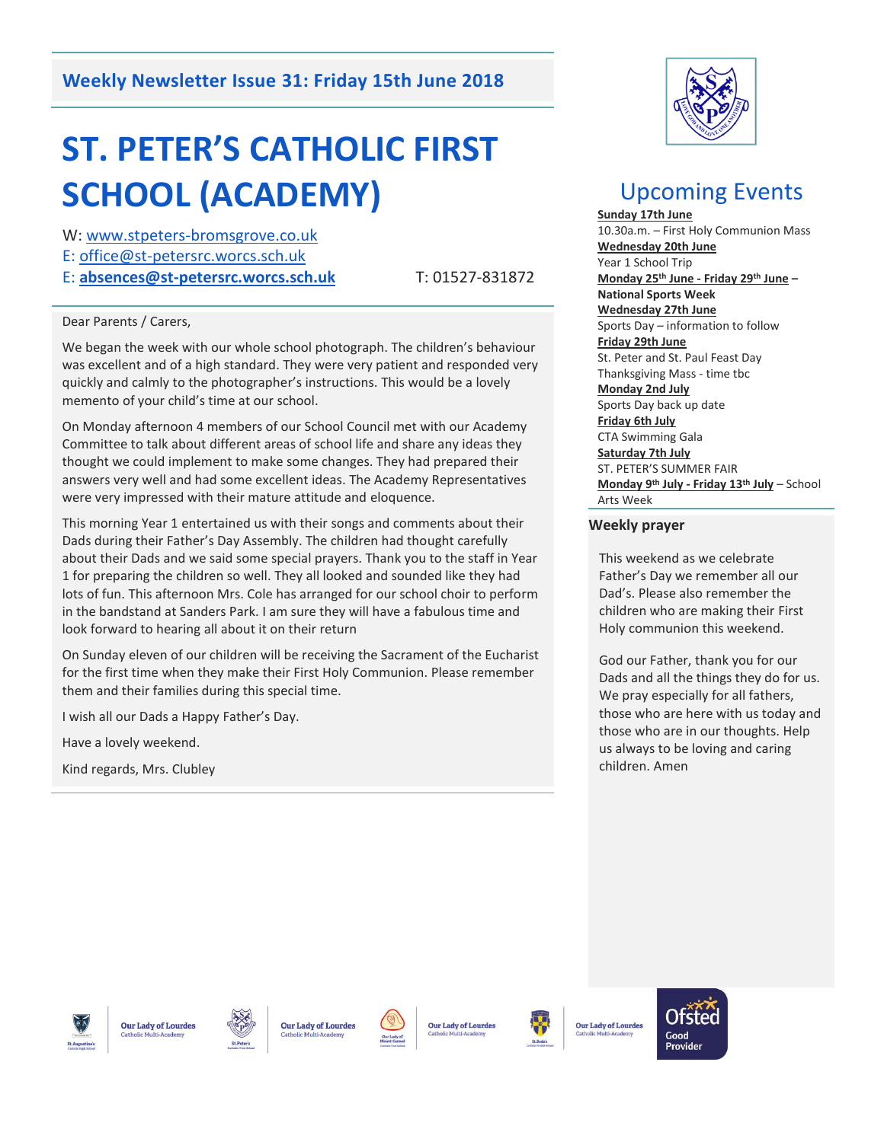# **Weekly Newsletter Issue 31: Friday 15th June 2018**

# **ST. PETER'S CATHOLIC FIRST SCHOOL (ACADEMY)**

W: [www.stpeters-bromsgrove.co.uk](http://www.stpeters-bromsgrove.co.uk/)

E: [office@st-petersrc.worcs.sch.uk](mailto:office@st-petersrc.worcs.sch.uk) 

E: **[absences@st-petersrc.worcs.sch.uk](mailto:absences@st-petersrc.worcs.sch.uk)** T: 01527-831872

#### Dear Parents / Carers,

We began the week with our whole school photograph. The children's behaviour was excellent and of a high standard. They were very patient and responded very quickly and calmly to the photographer's instructions. This would be a lovely memento of your child's time at our school.

On Monday afternoon 4 members of our School Council met with our Academy Committee to talk about different areas of school life and share any ideas they thought we could implement to make some changes. They had prepared their answers very well and had some excellent ideas. The Academy Representatives were very impressed with their mature attitude and eloquence.

This morning Year 1 entertained us with their songs and comments about their Dads during their Father's Day Assembly. The children had thought carefully about their Dads and we said some special prayers. Thank you to the staff in Year 1 for preparing the children so well. They all looked and sounded like they had lots of fun. This afternoon Mrs. Cole has arranged for our school choir to perform in the bandstand at Sanders Park. I am sure they will have a fabulous time and look forward to hearing all about it on their return

On Sunday eleven of our children will be receiving the Sacrament of the Eucharist for the first time when they make their First Holy Communion. Please remember them and their families during this special time.

I wish all our Dads a Happy Father's Day.

Have a lovely weekend.

Kind regards, Mrs. Clubley



# Upcoming Events

**Sunday 17th June** 10.30a.m. – First Holy Communion Mass **Wednesday 20th June** Year 1 School Trip **Monday 25th June - Friday 29th June – National Sports Week Wednesday 27th June** Sports Day – information to follow **Friday 29th June** St. Peter and St. Paul Feast Day Thanksgiving Mass - time tbc **Monday 2nd July** Sports Day back up date **Friday 6th July** CTA Swimming Gala **Saturday 7th July** ST. PETER'S SUMMER FAIR **Monday 9th July - Friday 13th July** – School Arts Week

#### **Weekly prayer**

This weekend as we celebrate Father's Day we remember all our Dad's. Please also remember the children who are making their First Holy communion this weekend.

God our Father, thank you for our Dads and all the things they do for us. We pray especially for all fathers, those who are here with us today and those who are in our thoughts. Help us always to be loving and caring children. Amen









**Our Lady of Lourdes** 



Our Lady of Lourdes